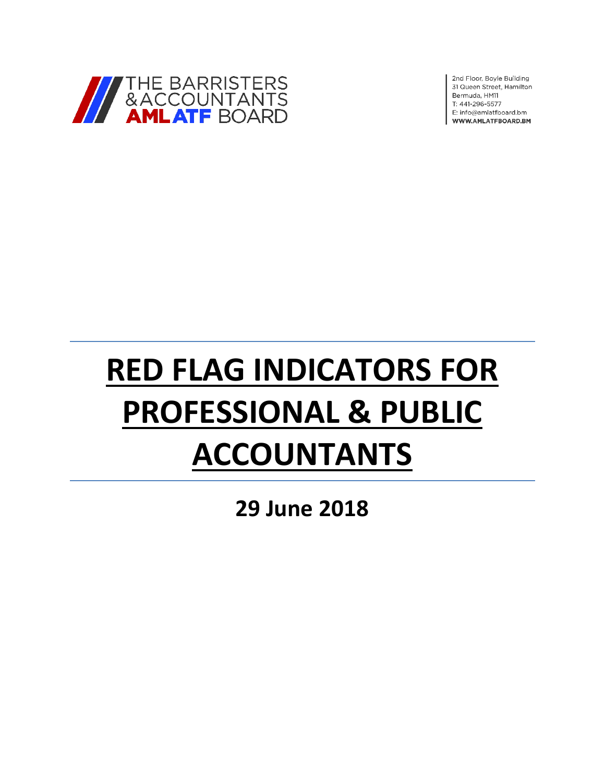

2nd Floor, Boyle Building 31 Queen Street, Hamilton Bermuda, HM11 T: 441-296-5577 E: info@amlatfboard.bm WWW.AMLATFBOARD.BM

# **RED FLAG INDICATORS FOR PROFESSIONAL & PUBLIC ACCOUNTANTS**

**29 June 2018**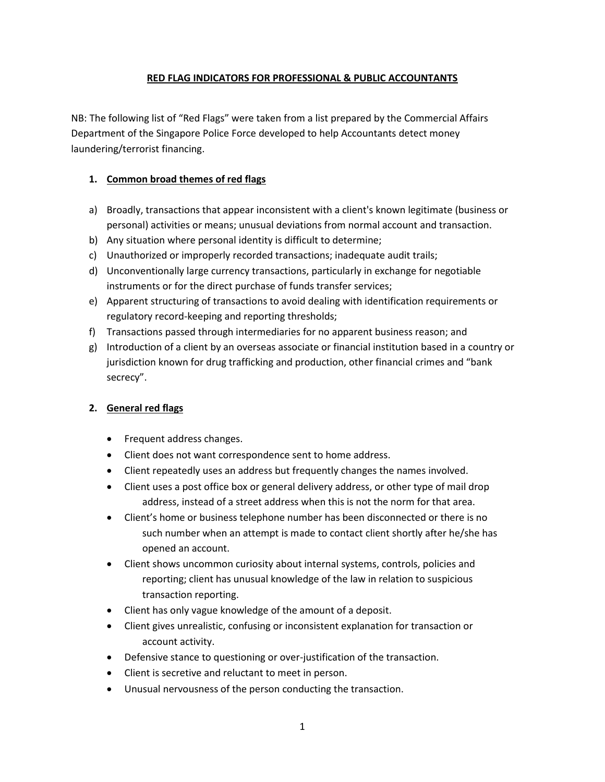#### **RED FLAG INDICATORS FOR PROFESSIONAL & PUBLIC ACCOUNTANTS**

NB: The following list of "Red Flags" were taken from a list prepared by the Commercial Affairs Department of the Singapore Police Force developed to help Accountants detect money laundering/terrorist financing.

## **1. Common broad themes of red flags**

- a) Broadly, transactions that appear inconsistent with a client's known legitimate (business or personal) activities or means; unusual deviations from normal account and transaction.
- b) Any situation where personal identity is difficult to determine;
- c) Unauthorized or improperly recorded transactions; inadequate audit trails;
- d) Unconventionally large currency transactions, particularly in exchange for negotiable instruments or for the direct purchase of funds transfer services;
- e) Apparent structuring of transactions to avoid dealing with identification requirements or regulatory record-keeping and reporting thresholds;
- f) Transactions passed through intermediaries for no apparent business reason; and
- g) Introduction of a client by an overseas associate or financial institution based in a country or jurisdiction known for drug trafficking and production, other financial crimes and "bank secrecy".

## **2. General red flags**

- Frequent address changes.
- Client does not want correspondence sent to home address.
- Client repeatedly uses an address but frequently changes the names involved.
- Client uses a post office box or general delivery address, or other type of mail drop address, instead of a street address when this is not the norm for that area.
- Client's home or business telephone number has been disconnected or there is no such number when an attempt is made to contact client shortly after he/she has opened an account.
- Client shows uncommon curiosity about internal systems, controls, policies and reporting; client has unusual knowledge of the law in relation to suspicious transaction reporting.
- Client has only vague knowledge of the amount of a deposit.
- Client gives unrealistic, confusing or inconsistent explanation for transaction or account activity.
- Defensive stance to questioning or over-justification of the transaction.
- Client is secretive and reluctant to meet in person.
- Unusual nervousness of the person conducting the transaction.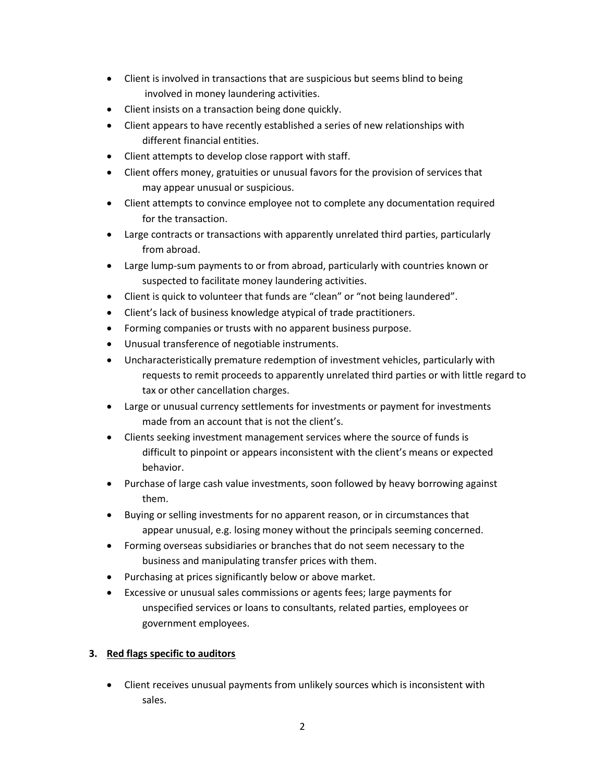- Client is involved in transactions that are suspicious but seems blind to being involved in money laundering activities.
- Client insists on a transaction being done quickly.
- Client appears to have recently established a series of new relationships with different financial entities.
- Client attempts to develop close rapport with staff.
- Client offers money, gratuities or unusual favors for the provision of services that may appear unusual or suspicious.
- Client attempts to convince employee not to complete any documentation required for the transaction.
- Large contracts or transactions with apparently unrelated third parties, particularly from abroad.
- Large lump-sum payments to or from abroad, particularly with countries known or suspected to facilitate money laundering activities.
- Client is quick to volunteer that funds are "clean" or "not being laundered".
- Client's lack of business knowledge atypical of trade practitioners.
- Forming companies or trusts with no apparent business purpose.
- Unusual transference of negotiable instruments.
- Uncharacteristically premature redemption of investment vehicles, particularly with requests to remit proceeds to apparently unrelated third parties or with little regard to tax or other cancellation charges.
- Large or unusual currency settlements for investments or payment for investments made from an account that is not the client's.
- Clients seeking investment management services where the source of funds is difficult to pinpoint or appears inconsistent with the client's means or expected behavior.
- Purchase of large cash value investments, soon followed by heavy borrowing against them.
- Buying or selling investments for no apparent reason, or in circumstances that appear unusual, e.g. losing money without the principals seeming concerned.
- Forming overseas subsidiaries or branches that do not seem necessary to the business and manipulating transfer prices with them.
- Purchasing at prices significantly below or above market.
- Excessive or unusual sales commissions or agents fees; large payments for unspecified services or loans to consultants, related parties, employees or government employees.

## **3. Red flags specific to auditors**

• Client receives unusual payments from unlikely sources which is inconsistent with sales.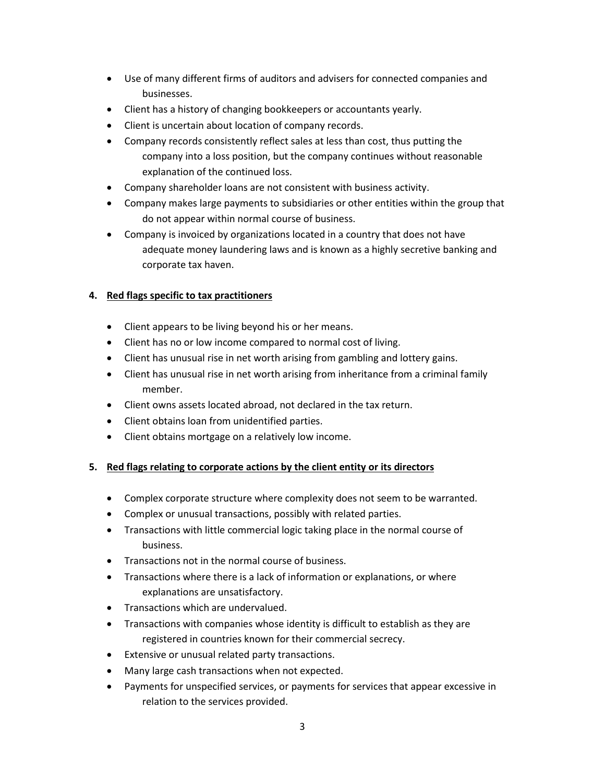- Use of many different firms of auditors and advisers for connected companies and businesses.
- Client has a history of changing bookkeepers or accountants yearly.
- Client is uncertain about location of company records.
- Company records consistently reflect sales at less than cost, thus putting the company into a loss position, but the company continues without reasonable explanation of the continued loss.
- Company shareholder loans are not consistent with business activity.
- Company makes large payments to subsidiaries or other entities within the group that do not appear within normal course of business.
- Company is invoiced by organizations located in a country that does not have adequate money laundering laws and is known as a highly secretive banking and corporate tax haven.

## **4. Red flags specific to tax practitioners**

- Client appears to be living beyond his or her means.
- Client has no or low income compared to normal cost of living.
- Client has unusual rise in net worth arising from gambling and lottery gains.
- Client has unusual rise in net worth arising from inheritance from a criminal family member.
- Client owns assets located abroad, not declared in the tax return.
- Client obtains loan from unidentified parties.
- Client obtains mortgage on a relatively low income.

## **5. Red flags relating to corporate actions by the client entity or its directors**

- Complex corporate structure where complexity does not seem to be warranted.
- Complex or unusual transactions, possibly with related parties.
- Transactions with little commercial logic taking place in the normal course of business.
- Transactions not in the normal course of business.
- Transactions where there is a lack of information or explanations, or where explanations are unsatisfactory.
- Transactions which are undervalued.
- Transactions with companies whose identity is difficult to establish as they are registered in countries known for their commercial secrecy.
- Extensive or unusual related party transactions.
- Many large cash transactions when not expected.
- Payments for unspecified services, or payments for services that appear excessive in relation to the services provided.